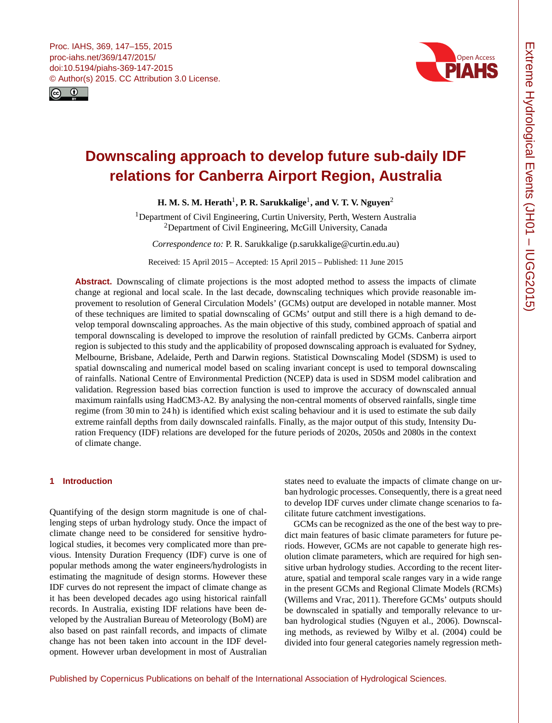<span id="page-0-1"></span>



# **Downscaling approach to develop future sub-daily IDF relations for Canberra Airport Region, Australia**

**H. M. S. M. Herath** $^1$  $^1$ **, P. R. Sarukkalige** $^1$ **, and V. T. V. Nguyen** $^2$  $^2$ 

<sup>1</sup>Department of Civil Engineering, Curtin University, Perth, Western Australia <sup>2</sup>Department of Civil Engineering, McGill University, Canada

*Correspondence to:* P. R. Sarukkalige (p.sarukkalige@curtin.edu.au)

Received: 15 April 2015 – Accepted: 15 April 2015 – Published: 11 June 2015

**Abstract.** Downscaling of climate projections is the most adopted method to assess the impacts of climate change at regional and local scale. In the last decade, downscaling techniques which provide reasonable improvement to resolution of General Circulation Models' (GCMs) output are developed in notable manner. Most of these techniques are limited to spatial downscaling of GCMs' output and still there is a high demand to develop temporal downscaling approaches. As the main objective of this study, combined approach of spatial and temporal downscaling is developed to improve the resolution of rainfall predicted by GCMs. Canberra airport region is subjected to this study and the applicability of proposed downscaling approach is evaluated for Sydney, Melbourne, Brisbane, Adelaide, Perth and Darwin regions. Statistical Downscaling Model (SDSM) is used to spatial downscaling and numerical model based on scaling invariant concept is used to temporal downscaling of rainfalls. National Centre of Environmental Prediction (NCEP) data is used in SDSM model calibration and validation. Regression based bias correction function is used to improve the accuracy of downscaled annual maximum rainfalls using HadCM3-A2. By analysing the non-central moments of observed rainfalls, single time regime (from 30 min to 24 h) is identified which exist scaling behaviour and it is used to estimate the sub daily extreme rainfall depths from daily downscaled rainfalls. Finally, as the major output of this study, Intensity Duration Frequency (IDF) relations are developed for the future periods of 2020s, 2050s and 2080s in the context of climate change.

# <span id="page-0-0"></span>**1 Introduction**

Quantifying of the design storm magnitude is one of challenging steps of urban hydrology study. Once the impact of climate change need to be considered for sensitive hydrological studies, it becomes very complicated more than previous. Intensity Duration Frequency (IDF) curve is one of popular methods among the water engineers/hydrologists in estimating the magnitude of design storms. However these IDF curves do not represent the impact of climate change as it has been developed decades ago using historical rainfall records. In Australia, existing IDF relations have been developed by the Australian Bureau of Meteorology (BoM) are also based on past rainfall records, and impacts of climate change has not been taken into account in the IDF development. However urban development in most of Australian

states need to evaluate the impacts of climate change on urban hydrologic processes. Consequently, there is a great need to develop IDF curves under climate change scenarios to facilitate future catchment investigations.

GCMs can be recognized as the one of the best way to predict main features of basic climate parameters for future periods. However, GCMs are not capable to generate high resolution climate parameters, which are required for high sensitive urban hydrology studies. According to the recent literature, spatial and temporal scale ranges vary in a wide range in the present GCMs and Regional Climate Models (RCMs) (Willems and Vrac, 2011). Therefore GCMs' outputs should be downscaled in spatially and temporally relevance to urban hydrological studies (Nguyen et al., 2006). Downscaling methods, as reviewed by Wilby et al. (2004) could be divided into four general categories namely regression meth-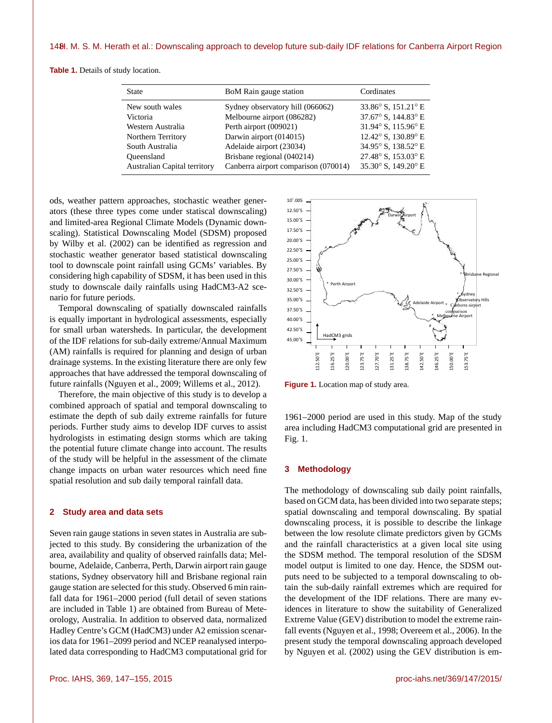**Table 1.** Details of study location.

| <b>State</b>                 | BoM Rain gauge station               | Cordinates                            |  |
|------------------------------|--------------------------------------|---------------------------------------|--|
| New south wales              | Sydney observatory hill (066062)     | 33.86° S, 151.21° E                   |  |
| Victoria                     | Melbourne airport (086282)           | 37.67° S, 144.83° E                   |  |
| Western Australia            | Perth airport (009021)               | 31.94° S, 115.96° E                   |  |
| Northern Territory           | Darwin airport (014015)              | 12.42° S, 130.89° E                   |  |
| South Australia              | Adelaide airport (23034)             | 34.95° S, 138.52° E                   |  |
| Oueensland                   | Brisbane regional (040214)           | 27.48° S, 153.03° E                   |  |
| Australian Capital territory | Canberra airport comparison (070014) | 35.30 $\degree$ S, 149.20 $\degree$ E |  |

ods, weather pattern approaches, stochastic weather generators (these three types come under statiscal downscaling) and limited-area Regional Climate Models (Dynamic downscaling). Statistical Downscaling Model (SDSM) proposed by Wilby et al. (2002) can be identified as regression and stochastic weather generator based statistical downscaling tool to downscale point rainfall using GCMs' variables. By considering high capability of SDSM, it has been used in this study to downscale daily rainfalls using HadCM3-A2 scenario for future periods.

Temporal downscaling of spatially downscaled rainfalls is equally important in hydrological assessments, especially for small urban watersheds. In particular, the development of the IDF relations for sub-daily extreme/Annual Maximum (AM) rainfalls is required for planning and design of urban drainage systems. In the existing literature there are only few approaches that have addressed the temporal downscaling of future rainfalls (Nguyen et al., 2009; Willems et al., 2012).

Therefore, the main objective of this study is to develop a combined approach of spatial and temporal downscaling to estimate the depth of sub daily extreme rainfalls for future periods. Further study aims to develop IDF curves to assist hydrologists in estimating design storms which are taking the potential future climate change into account. The results of the study will be helpful in the assessment of the climate change impacts on urban water resources which need fine spatial resolution and sub daily temporal rainfall data.

# **2 Study area and data sets**

Seven rain gauge stations in seven states in Australia are subjected to this study. By considering the urbanization of the area, availability and quality of observed rainfalls data; Melbourne, Adelaide, Canberra, Perth, Darwin airport rain gauge stations, Sydney observatory hill and Brisbane regional rain gauge station are selected for this study. Observed 6 min rainfall data for 1961–2000 period (full detail of seven stations are included in Table 1) are obtained from Bureau of Meteorology, Australia. In addition to observed data, normalized Hadley Centre's GCM (HadCM3) under A2 emission scenarios data for 1961–2099 period and NCEP reanalysed interpolated data corresponding to HadCM3 computational grid for



**Figure 1.** Location map of study area.

Figure 1. L<br>1961–2000<br>area includ<br>Fig. 1. 1961–2000 period are used in this study. Map of the study area including HadCM3 computational grid are presented in Fig. 1.

## **3 Methodology**

The methodology of downscaling sub daily point rainfalls, based on GCM data, has been divided into two separate steps; spatial downscaling and temporal downscaling. By spatial downscaling process, it is possible to describe the linkage between the low resolute climate predictors given by GCMs and the rainfall characteristics at a given local site using the SDSM method. The temporal resolution of the SDSM model output is limited to one day. Hence, the SDSM outputs need to be subjected to a temporal downscaling to obtain the sub-daily rainfall extremes which are required for the development of the IDF relations. There are many evidences in literature to show the suitability of Generalized Extreme Value (GEV) distribution to model the extreme rainfall events (Nguyen et al., 1998; Overeem et al., 2006). In the present study the temporal downscaling approach developed by Nguyen et al. (2002) using the GEV distribution is em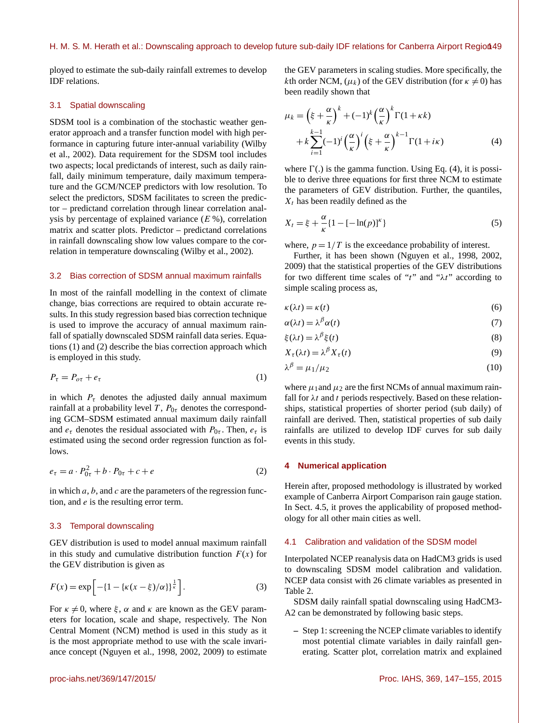ployed to estimate the sub-daily rainfall extremes to develop IDF relations.

# 3.1 Spatial downscaling

SDSM tool is a combination of the stochastic weather generator approach and a transfer function model with high performance in capturing future inter-annual variability (Wilby et al., 2002). Data requirement for the SDSM tool includes two aspects; local predictands of interest, such as daily rainfall, daily minimum temperature, daily maximum temperature and the GCM/NCEP predictors with low resolution. To select the predictors, SDSM facilitates to screen the predictor – predictand correlation through linear correlation analysis by percentage of explained variance  $(E \%)$ , correlation matrix and scatter plots. Predictor – predictand correlations in rainfall downscaling show low values compare to the correlation in temperature downscaling (Wilby et al., 2002).

## 3.2 Bias correction of SDSM annual maximum rainfalls

In most of the rainfall modelling in the context of climate change, bias corrections are required to obtain accurate results. In this study regression based bias correction technique is used to improve the accuracy of annual maximum rainfall of spatially downscaled SDSM rainfall data series. Equations (1) and (2) describe the bias correction approach which is employed in this study.

$$
P_{\tau} = P_{\sigma\tau} + e_{\tau} \tag{1}
$$

in which  $P_{\tau}$  denotes the adjusted daily annual maximum rainfall at a probability level T,  $P_{0\tau}$  denotes the corresponding GCM–SDSM estimated annual maximum daily rainfall and  $e_{\tau}$  denotes the residual associated with  $P_{0\tau}$ . Then,  $e_{\tau}$  is estimated using the second order regression function as follows.

$$
e_{\tau} = a \cdot P_{0\tau}^2 + b \cdot P_{0\tau} + c + e \tag{2}
$$

in which  $a, b$ , and  $c$  are the parameters of the regression function, and e is the resulting error term.

# 3.3 Temporal downscaling

GEV distribution is used to model annual maximum rainfall in this study and cumulative distribution function  $F(x)$  for the GEV distribution is given as

$$
F(x) = \exp\left[-\{1 - \{\kappa(x - \xi)/\alpha\}\}^{\frac{1}{\kappa}}\right].
$$
 (3)

For  $\kappa \neq 0$ , where  $\xi$ ,  $\alpha$  and  $\kappa$  are known as the GEV parameters for location, scale and shape, respectively. The Non Central Moment (NCM) method is used in this study as it is the most appropriate method to use with the scale invariance concept (Nguyen et al., 1998, 2002, 2009) to estimate the GEV parameters in scaling studies. More specifically, the kth order NCM,  $(\mu_k)$  of the GEV distribution (for  $\kappa \neq 0$ ) has been readily shown that

$$
\mu_k = \left(\xi + \frac{\alpha}{\kappa}\right)^k + (-1)^k \left(\frac{\alpha}{\kappa}\right)^k \Gamma(1 + \kappa k) \n+ k \sum_{i=1}^{k-1} (-1)^i \left(\frac{\alpha}{\kappa}\right)^i \left(\xi + \frac{\alpha}{\kappa}\right)^{k-1} \Gamma(1 + i\kappa)
$$
\n(4)

where  $\Gamma$ (.) is the gamma function. Using Eq. (4), it is possible to derive three equations for first three NCM to estimate the parameters of GEV distribution. Further, the quantiles,  $X_t$  has been readily defined as the

$$
X_t = \xi + \frac{\alpha}{\kappa} \{ 1 - [-\ln(p)]^{\kappa} \}
$$
 (5)

where,  $p = 1/T$  is the exceedance probability of interest.

Further, it has been shown (Nguyen et al., 1998, 2002, 2009) that the statistical properties of the GEV distributions for two different time scales of "t" and " $\lambda t$ " according to simple scaling process as,

$$
\kappa(\lambda t) = \kappa(t) \tag{6}
$$

$$
\alpha(\lambda t) = \lambda^{\beta} \alpha(t) \tag{7}
$$

$$
\xi(\lambda t) = \lambda^{\beta} \xi(t) \tag{8}
$$

$$
X_{\tau}(\lambda t) = \lambda^{\beta} X_{\tau}(t) \tag{9}
$$

$$
\lambda^{\beta} = \mu_1/\mu_2 \tag{10}
$$

where  $\mu_1$  and  $\mu_2$  are the first NCMs of annual maximum rainfall for  $\lambda t$  and t periods respectively. Based on these relationships, statistical properties of shorter period (sub daily) of rainfall are derived. Then, statistical properties of sub daily rainfalls are utilized to develop IDF curves for sub daily events in this study.

### **4 Numerical application**

Herein after, proposed methodology is illustrated by worked example of Canberra Airport Comparison rain gauge station. In Sect. 4.5, it proves the applicability of proposed methodology for all other main cities as well.

# 4.1 Calibration and validation of the SDSM model

Interpolated NCEP reanalysis data on HadCM3 grids is used to downscaling SDSM model calibration and validation. NCEP data consist with 26 climate variables as presented in Table 2.

SDSM daily rainfall spatial downscaling using HadCM3- A2 can be demonstrated by following basic steps.

**–** Step 1: screening the NCEP climate variables to identify most potential climate variables in daily rainfall generating. Scatter plot, correlation matrix and explained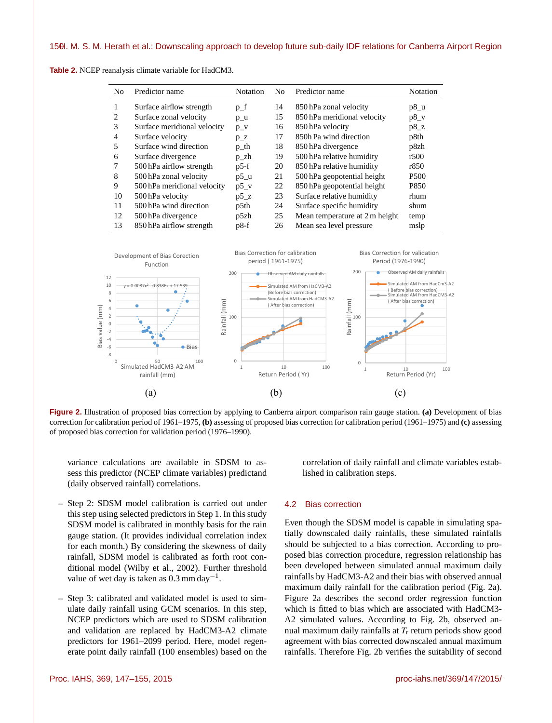| N <sub>0</sub> | Predictor name              | <b>Notation</b> | No. | Predictor name                 | Notation         |
|----------------|-----------------------------|-----------------|-----|--------------------------------|------------------|
|                | Surface airflow strength    | $p_f$           | 14  | 850 hPa zonal velocity         | $p8_u$           |
| 2              | Surface zonal velocity      | $p_u$           | 15  | 850 hPa meridional velocity    | $p8_v$           |
| 3              | Surface meridional velocity | $p_v$           | 16  | 850 hPa velocity               | $p8_z$           |
| $\overline{4}$ | Surface velocity            | $p_Z$           | 17  | 850h Pa wind direction         | p8th             |
| 5              | Surface wind direction      | p_th            | 18  | 850 hPa divergence             | p8zh             |
| 6              | Surface divergence          | p_zh            | 19  | 500 hPa relative humidity      | r500             |
|                | 500 hPa airflow strength    | $p5-f$          | 20  | 850 hPa relative humidity      | r850             |
| 8              | 500 hPa zonal velocity      | $p5_u$          | 21  | 500 hPa geopotential height    | P <sub>500</sub> |
| 9              | 500 hPa meridional velocity | $p5_v$          | 22  | 850 hPa geopotential height    | P850             |
| 10             | 500 hPa velocity            | $p5_Z$          | 23  | Surface relative humidity      | rhum             |
| 11             | 500 hPa wind direction      | p5th            | 24  | Surface specific humidity      | shum             |
| 12             | 500 hPa divergence          | p5zh            | 25  | Mean temperature at 2 m height | temp             |
| 13             | 850 hPa airflow strength    | $p8-f$          | 26  | Mean sea level pressure        | mslp             |

**Table 2.** NCEP reanalysis climate variable for HadCM3.



**Figure 2.** Illustration of proposed bias correction by applying to Canberra airport comparison rain gauge station. **(a)** Development of bias correction for calibration period of 1961–1975, **(b)** assessing of proposed bias correction for calibration period (1961–1975) and **(c)** assessing of proposed bias correction for validation period (1976–1990).

variance calculations are available in SDSM to assess this predictor (NCEP climate variables) predictand (daily observed rainfall) correlations.

- **–** Step 2: SDSM model calibration is carried out under this step using selected predictors in Step 1. In this study SDSM model is calibrated in monthly basis for the rain gauge station. (It provides individual correlation index for each month.) By considering the skewness of daily rainfall, SDSM model is calibrated as forth root conditional model (Wilby et al., 2002). Further threshold value of wet day is taken as  $0.3$  mm day<sup>-1</sup>.
- **–** Step 3: calibrated and validated model is used to simulate daily rainfall using GCM scenarios. In this step, NCEP predictors which are used to SDSM calibration and validation are replaced by HadCM3-A2 climate predictors for 1961–2099 period. Here, model regenerate point daily rainfall (100 ensembles) based on the

correlation of daily rainfall and climate variables established in calibration steps.

## 4.2 Bias correction

Even though the SDSM model is capable in simulating spatially downscaled daily rainfalls, these simulated rainfalls should be subjected to a bias correction. According to proposed bias correction procedure, regression relationship has been developed between simulated annual maximum daily rainfalls by HadCM3-A2 and their bias with observed annual maximum daily rainfall for the calibration period (Fig. 2a). Figure 2a describes the second order regression function which is fitted to bias which are associated with HadCM3- A2 simulated values. According to Fig. 2b, observed annual maximum daily rainfalls at  $T_r$  return periods show good agreement with bias corrected downscaled annual maximum rainfalls. Therefore Fig. 2b verifies the suitability of second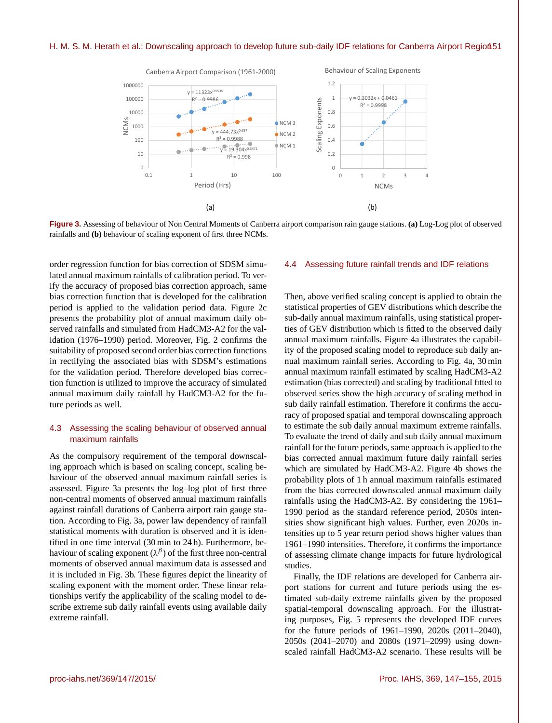

**Figure 3.** Assessing of behaviour of Non Central Moments of Canberra airport comparison rain gauge stations. **(a)** Log-Log plot of observed rainfalls and **(b)** behaviour of scaling exponent of first three NCMs.

order regression function for bias correction of SDSM simulated annual maximum rainfalls of calibration period. To verify the accuracy of proposed bias correction approach, same bias correction function that is developed for the calibration period is applied to the validation period data. Figure 2c presents the probability plot of annual maximum daily observed rainfalls and simulated from HadCM3-A2 for the validation (1976–1990) period. Moreover, Fig. 2 confirms the suitability of proposed second order bias correction functions in rectifying the associated bias with SDSM's estimations for the validation period. Therefore developed bias correction function is utilized to improve the accuracy of simulated annual maximum daily rainfall by HadCM3-A2 for the future periods as well.

# 4.3 Assessing the scaling behaviour of observed annual maximum rainfalls

As the compulsory requirement of the temporal downscaling approach which is based on scaling concept, scaling behaviour of the observed annual maximum rainfall series is assessed. Figure 3a presents the log–log plot of first three non-central moments of observed annual maximum rainfalls against rainfall durations of Canberra airport rain gauge station. According to Fig. 3a, power law dependency of rainfall statistical moments with duration is observed and it is identified in one time interval (30 min to 24 h). Furthermore, behaviour of scaling exponent  $(\lambda^{\beta})$  of the first three non-central moments of observed annual maximum data is assessed and it is included in Fig. 3b. These figures depict the linearity of scaling exponent with the moment order. These linear relationships verify the applicability of the scaling model to describe extreme sub daily rainfall events using available daily extreme rainfall.

#### 4.4 Assessing future rainfall trends and IDF relations

Then, above verified scaling concept is applied to obtain the statistical properties of GEV distributions which describe the sub-daily annual maximum rainfalls, using statistical properties of GEV distribution which is fitted to the observed daily annual maximum rainfalls. Figure 4a illustrates the capability of the proposed scaling model to reproduce sub daily annual maximum rainfall series. According to Fig. 4a, 30 min annual maximum rainfall estimated by scaling HadCM3-A2 estimation (bias corrected) and scaling by traditional fitted to observed series show the high accuracy of scaling method in sub daily rainfall estimation. Therefore it confirms the accuracy of proposed spatial and temporal downscaling approach to estimate the sub daily annual maximum extreme rainfalls. To evaluate the trend of daily and sub daily annual maximum rainfall for the future periods, same approach is applied to the bias corrected annual maximum future daily rainfall series which are simulated by HadCM3-A2. Figure 4b shows the probability plots of 1 h annual maximum rainfalls estimated from the bias corrected downscaled annual maximum daily rainfalls using the HadCM3-A2. By considering the 1961– 1990 period as the standard reference period, 2050s intensities show significant high values. Further, even 2020s intensities up to 5 year return period shows higher values than 1961–1990 intensities. Therefore, it confirms the importance of assessing climate change impacts for future hydrological studies.

Finally, the IDF relations are developed for Canberra airport stations for current and future periods using the estimated sub-daily extreme rainfalls given by the proposed spatial-temporal downscaling approach. For the illustrating purposes, Fig. 5 represents the developed IDF curves for the future periods of 1961–1990, 2020s (2011–2040), 2050s (2041–2070) and 2080s (1971–2099) using downscaled rainfall HadCM3-A2 scenario. These results will be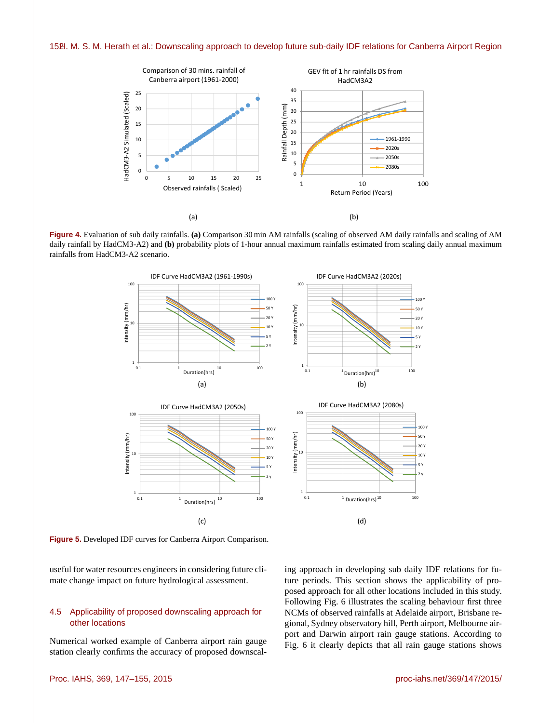

**Figure 4.** Evaluation of sub daily rainfalls. **(a)** Comparison 30 min AM rainfalls (scaling of observed AM daily rainfalls and scaling of AM daily rainfall by HadCM3-A2) and **(b)** probability plots of 1-hour annual maximum rainfalls estimated from scaling daily annual maximum rainfalls from HadCM3-A2 scenario.



**Figure 5.** Developed IDF curves for Canberra Airport Comparison.

useful for water resources engineers in considering future climate change impact on future hydrological assessment.

# 4.5 Applicability of proposed downscaling approach for other locations

Numerical worked example of Canberra airport rain gauge station clearly confirms the accuracy of proposed downscaling approach in developing sub daily IDF relations for future periods. This section shows the applicability of proposed approach for all other locations included in this study. Following Fig. 6 illustrates the scaling behaviour first three NCMs of observed rainfalls at Adelaide airport, Brisbane regional, Sydney observatory hill, Perth airport, Melbourne airport and Darwin airport rain gauge stations. According to Fig. 6 it clearly depicts that all rain gauge stations shows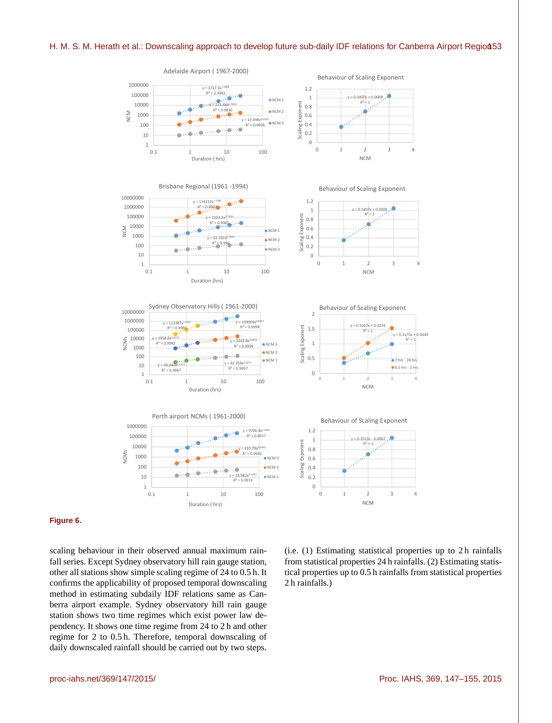

# Adelaide Airport ( 1967-2000)



# **Figure 6.**

scaling behaviour in their observed annual maximum rainfall series. Except Sydney observatory hill rain gauge station, other all stations show simple scaling regime of 24 to 0.5 h. It confirms the applicability of proposed temporal downscaling method in estimating subdaily IDF relations same as Canberra airport example. Sydney observatory hill rain gauge station shows two time regimes which exist power law dependency. It shows one time regime from 24 to 2 h and other regime for 2 to 0.5 h. Therefore, temporal downscaling of daily downscaled rainfall should be carried out by two steps.

(i.e. (1) Estimating statistical properties up to 2 h rainfalls from statistical properties 24 h rainfalls. (2) Estimating statistical properties up to 0.5 h rainfalls from statistical properties 2 h rainfalls.)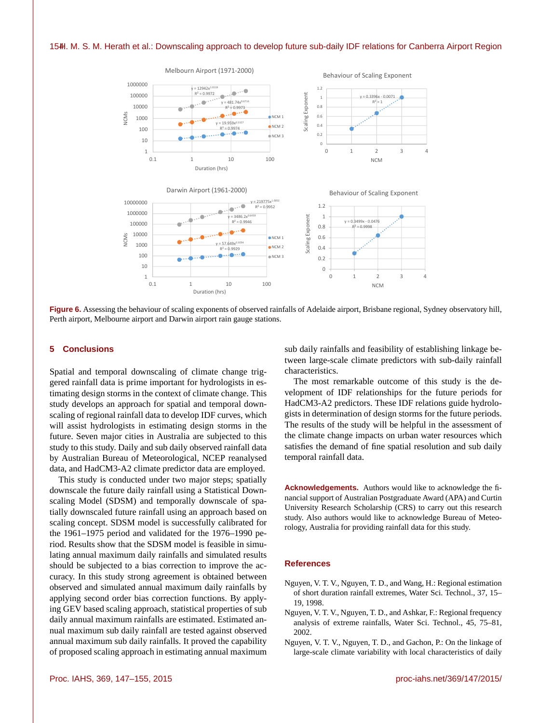

**Figure 6.** Assessing the behaviour of scaling exponents of observed rainfalls of Adelaide airport, Brisbane regional, Sydney observatory hill, Perth airport, Melbourne airport and Darwin airport rain gauge stations.

## **5 Conclusions**

Spatial and temporal downscaling of climate change triggered rainfall data is prime important for hydrologists in estimating design storms in the context of climate change. This study develops an approach for spatial and temporal downscaling of regional rainfall data to develop IDF curves, which will assist hydrologists in estimating design storms in the future. Seven major cities in Australia are subjected to this study to this study. Daily and sub daily observed rainfall data by Australian Bureau of Meteorological, NCEP reanalysed data, and HadCM3-A2 climate predictor data are employed.

This study is conducted under two major steps; spatially downscale the future daily rainfall using a Statistical Downscaling Model (SDSM) and temporally downscale of spatially downscaled future rainfall using an approach based on scaling concept. SDSM model is successfully calibrated for the 1961–1975 period and validated for the 1976–1990 period. Results show that the SDSM model is feasible in simulating annual maximum daily rainfalls and simulated results should be subjected to a bias correction to improve the accuracy. In this study strong agreement is obtained between observed and simulated annual maximum daily rainfalls by applying second order bias correction functions. By applying GEV based scaling approach, statistical properties of sub daily annual maximum rainfalls are estimated. Estimated annual maximum sub daily rainfall are tested against observed annual maximum sub daily rainfalls. It proved the capability of proposed scaling approach in estimating annual maximum

The most remarkable outcome of this study is the development of IDF relationships for the future periods for HadCM3-A2 predictors. These IDF relations guide hydrolo-

gists in determination of design storms for the future periods. The results of the study will be helpful in the assessment of the climate change impacts on urban water resources which satisfies the demand of fine spatial resolution and sub daily temporal rainfall data.

sub daily rainfalls and feasibility of establishing linkage between large-scale climate predictors with sub-daily rainfall

**Acknowledgements.** Authors would like to acknowledge the financial support of Australian Postgraduate Award (APA) and Curtin University Research Scholarship (CRS) to carry out this research study. Also authors would like to acknowledge Bureau of Meteorology, Australia for providing rainfall data for this study.

## **References**

characteristics.

- Nguyen, V. T. V., Nguyen, T. D., and Wang, H.: Regional estimation of short duration rainfall extremes, Water Sci. Technol., 37, 15– 19, 1998.
- Nguyen, V. T. V., Nguyen, T. D., and Ashkar, F.: Regional frequency analysis of extreme rainfalls, Water Sci. Technol., 45, 75–81, 2002.
- Nguyen, V. T. V., Nguyen, T. D., and Gachon, P.: On the linkage of large-scale climate variability with local characteristics of daily